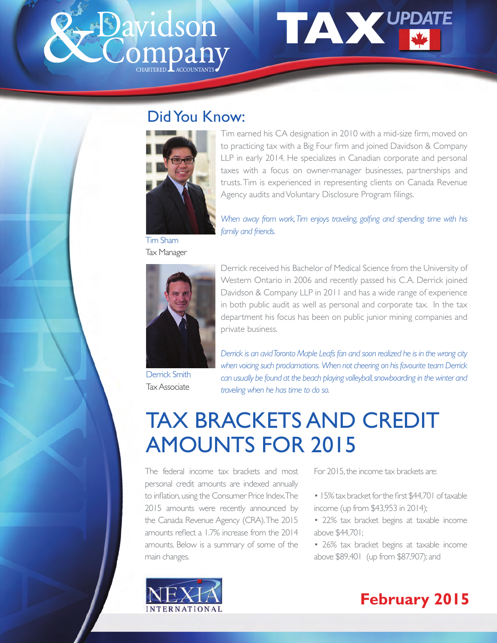



# Did You Know:



Tim earned his CA designation in 2010 with a mid-size firm, moved on to practicing tax with a Big Four firm and joined Davidson & Company LLP in early 2014. He specializes in Canadian corporate and personal taxes with a focus on owner-manager businesses, partnerships and trusts. Tim is experienced in representing clients on Canada Revenue Agency audits and Voluntary Disclosure Program filings.

Tim Sham Tax Manager

*When away from work, Tim enjoys traveling, golfing and spending time with his family and friends.*



Derrick Smith Tax Associate

Derrick received his Bachelor of Medical Science from the University of Western Ontario in 2006 and recently passed his C.A. Derrick joined Davidson & Company LLP in 2011 and has a wide range of experience in both public audit as well as personal and corporate tax. In the tax department his focus has been on public junior mining companies and private business.

*Derrick is an avid Toronto Maple Leafs fan and soon realized he is in the wrong city when voicing such proclamations. When not cheering on his favourite team Derrick can usually be found at the beach playing volleyball, snowboarding in the winter and traveling when he has time to do so.*

# TAX BRACKETS AND CREDIT AMOUNTS FOR 2015

The federal income tax brackets and most personal credit amounts are indexed annually to inflation, using the Consumer Price Index. The 2015 amounts were recently announced by the Canada Revenue Agency (CRA). The 2015 amounts reflect a 1.7% increase from the 2014 amounts. Below is a summary of some of the main changes.

For 2015, the income tax brackets are:

- 15% tax bracket for the first \$44,701 of taxable income (up from \$43,953 in 2014);
- 22% tax bracket begins at taxable income above \$44,701;
- 26% tax bracket begins at taxable income above \$89,401 (up from \$87,907); and



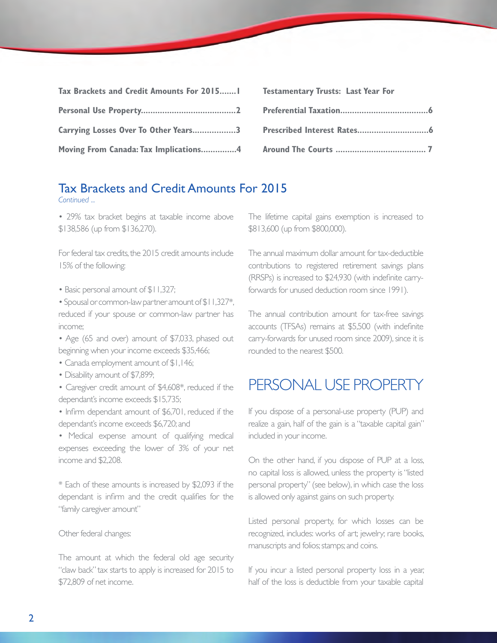| Tax Brackets and Credit Amounts For 2015   Testamentary Trusts: Last Year For |  |
|-------------------------------------------------------------------------------|--|
|                                                                               |  |
|                                                                               |  |
|                                                                               |  |

#### Tax Brackets and Credit Amounts For 2015 *Continued ...*

• 29% tax bracket begins at taxable income above \$138,586 (up from \$136,270).

For federal tax credits, the 2015 credit amounts include 15% of the following:

• Basic personal amount of \$11,327;

• Spousal or common-law partner amount of \$11,327\*, reduced if your spouse or common-law partner has income;

• Age (65 and over) amount of \$7,033, phased out beginning when your income exceeds \$35,466;

• Canada employment amount of \$1,146;

• Disability amount of \$7,899;

• Caregiver credit amount of \$4,608\*, reduced if the dependant's income exceeds \$15,735;

• Infirm dependant amount of \$6,701, reduced if the dependant's income exceeds \$6,720; and

• Medical expense amount of qualifying medical expenses exceeding the lower of 3% of your net income and \$2,208.

\* Each of these amounts is increased by \$2,093 if the dependant is infirm and the credit qualifies for the "family caregiver amount"

#### Other federal changes:

The amount at which the federal old age security "claw back" tax starts to apply is increased for 2015 to \$72,809 of net income.

The lifetime capital gains exemption is increased to \$813,600 (up from \$800,000).

The annual maximum dollar amount for tax-deductible contributions to registered retirement savings plans (RRSPs) is increased to \$24,930 (with indefinite carryforwards for unused deduction room since 1991).

The annual contribution amount for tax-free savings accounts (TFSAs) remains at \$5,500 (with indefinite carry-forwards for unused room since 2009), since it is rounded to the nearest \$500.

### PERSONAL USE PROPERTY

If you dispose of a personal-use property (PUP) and realize a gain, half of the gain is a "taxable capital gain" included in your income.

On the other hand, if you dispose of PUP at a loss, no capital loss is allowed, unless the property is "listed personal property" (see below), in which case the loss is allowed only against gains on such property.

Listed personal property, for which losses can be recognized, includes: works of art; jewelry; rare books, manuscripts and folios; stamps; and coins.

If you incur a listed personal property loss in a year, half of the loss is deductible from your taxable capital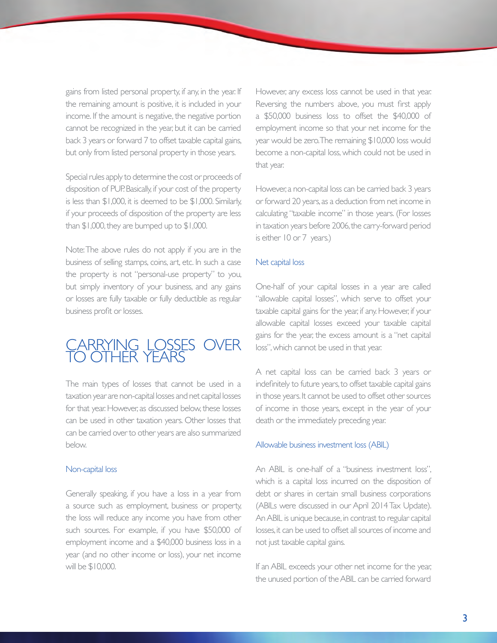gains from listed personal property, if any, in the year. If the remaining amount is positive, it is included in your income. If the amount is negative, the negative portion cannot be recognized in the year, but it can be carried back 3 years or forward 7 to offset taxable capital gains, but only from listed personal property in those years.

Special rules apply to determine the cost or proceeds of disposition of PUP. Basically, if your cost of the property is less than \$1,000, it is deemed to be \$1,000. Similarly, if your proceeds of disposition of the property are less than \$1,000, they are bumped up to \$1,000.

Note: The above rules do not apply if you are in the business of selling stamps, coins, art, etc. In such a case the property is not "personal-use property" to you, but simply inventory of your business, and any gains or losses are fully taxable or fully deductible as regular business profit or losses.

### CARRYING LOSSES OVER TO OTHER YEARS

The main types of losses that cannot be used in a taxation year are non-capital losses and net capital losses for that year. However, as discussed below, these losses can be used in other taxation years. Other losses that can be carried over to other years are also summarized below.

#### Non-capital loss

Generally speaking, if you have a loss in a year from a source such as employment, business or property, the loss will reduce any income you have from other such sources. For example, if you have \$50,000 of employment income and a \$40,000 business loss in a year (and no other income or loss), your net income will be \$10,000.

However, any excess loss cannot be used in that year. Reversing the numbers above, you must first apply a \$50,000 business loss to offset the \$40,000 of employment income so that your net income for the year would be zero. The remaining \$10,000 loss would become a non-capital loss, which could not be used in that year.

However, a non-capital loss can be carried back 3 years or forward 20 years, as a deduction from net income in calculating "taxable income" in those years. (For losses in taxation years before 2006, the carry-forward period is either 10 or 7 years.)

#### Net capital loss

One-half of your capital losses in a year are called "allowable capital losses", which serve to offset your taxable capital gains for the year, if any. However, if your allowable capital losses exceed your taxable capital gains for the year, the excess amount is a "net capital loss", which cannot be used in that year.

A net capital loss can be carried back 3 years or indefinitely to future years, to offset taxable capital gains in those years. It cannot be used to offset other sources of income in those years, except in the year of your death or the immediately preceding year.

#### Allowable business investment loss (ABIL)

An ABIL is one-half of a "business investment loss", which is a capital loss incurred on the disposition of debt or shares in certain small business corporations (ABILs were discussed in our April 2014 Tax Update). An ABIL is unique because, in contrast to regular capital losses, it can be used to offset all sources of income and not just taxable capital gains.

If an ABIL exceeds your other net income for the year, the unused portion of the ABIL can be carried forward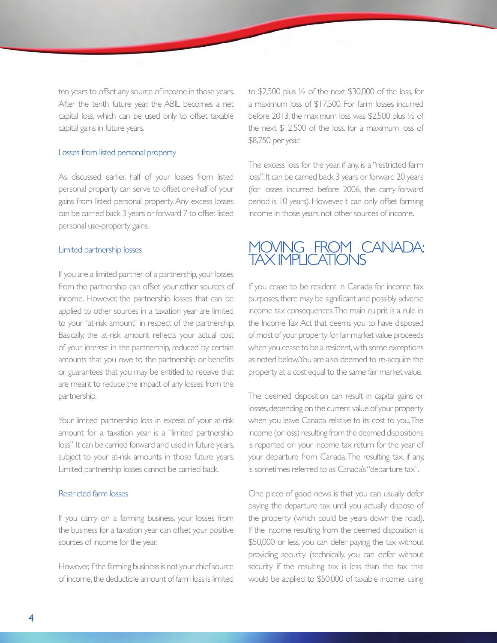ten years to offset any source of income in those years. After the tenth future year, the ABIL becomes a net capital loss, which can be used only to offset taxable capital gains in future years.

#### Losses from listed personal property

As discussed earlier, half of your losses from listed personal property can serve to offset one-half of your gains from listed personal property. Any excess losses can be carried back 3 years or forward 7 to offset listed personal use-property gains.

#### Limited partnership losses

If you are a limited partner of a partnership, your losses from the partnership can offset your other sources of income. However, the partnership losses that can be applied to other sources in a taxation year are limited to your "at-risk amount" in respect of the partnership. Basically, the at-risk amount reflects your actual cost of your interest in the partnership, reduced by certain amounts that you owe to the partnership or benefits or guarantees that you may be entitled to receive that are meant to reduce the impact of any losses from the partnership.

Your limited partnership loss in excess of your at-risk amount for a taxation year is a "limited partnership loss". It can be carried forward and used in future years, subject to your at-risk amounts in those future years. Limited partnership losses cannot be carried back.

#### Restricted farm losses

If you carry on a farming business, your losses from the business for a taxation year can offset your positive sources of income for the year.

However, if the farming business is not your chief source of income, the deductible amount of farm loss is limited to \$2,500 plus ½ of the next \$30,000 of the loss, for a maximum loss of \$17,500. For farm losses incurred before 2013, the maximum loss was \$2,500 plus ½ of the next \$12,500 of the loss, for a maximum loss of \$8,750 per year.

The excess loss for the year, if any, is a "restricted farm loss". It can be carried back 3 years or forward 20 years (for losses incurred before 2006, the carry-forward period is 10 years). However, it can only offset farming income in those years, not other sources of income.

### MOVING FROM CANADA: TAX IMPLICATIONS

If you cease to be resident in Canada for income tax purposes, there may be significant and possibly adverse income tax consequences. The main culprit is a rule in the Income Tax Act that deems you to have disposed of most of your property for fair market value proceeds when you cease to be a resident, with some exceptions as noted below. You are also deemed to re-acquire the property at a cost equal to the same fair market value.

The deemed disposition can result in capital gains or losses, depending on the current value of your property when you leave Canada relative to its cost to you. The income (or loss) resulting from the deemed dispositions is reported on your income tax return for the year of your departure from Canada. The resulting tax, if any, is sometimes referred to as Canada's "departure tax".

One piece of good news is that you can usually defer paying the departure tax until you actually dispose of the property (which could be years down the road). If the income resulting from the deemed disposition is \$50,000 or less, you can defer paying the tax without providing security (technically, you can defer without security if the resulting tax is less than the tax that would be applied to \$50,000 of taxable income, using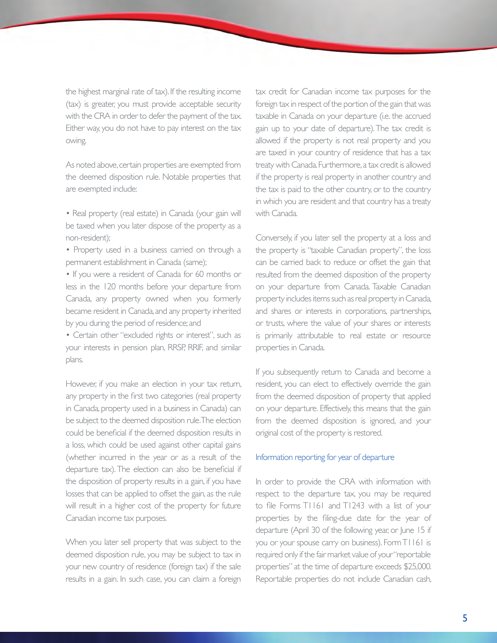the highest marginal rate of tax). If the resulting income (tax) is greater, you must provide acceptable security with the CRA in order to defer the payment of the tax. Either way, you do not have to pay interest on the tax owing.

As noted above, certain properties are exempted from the deemed disposition rule. Notable properties that are exempted include:

- Real property (real estate) in Canada (your gain will be taxed when you later dispose of the property as a non-resident);
- Property used in a business carried on through a permanent establishment in Canada (same);
- If you were a resident of Canada for 60 months or less in the 120 months before your departure from Canada, any property owned when you formerly became resident in Canada, and any property inherited by you during the period of residence; and
- Certain other "excluded rights or interest", such as your interests in pension plan, RRSP, RRIF, and similar plans.

However, if you make an election in your tax return, any property in the first two categories (real property in Canada, property used in a business in Canada) can be subject to the deemed disposition rule. The election could be beneficial if the deemed disposition results in a loss, which could be used against other capital gains (whether incurred in the year or as a result of the departure tax). The election can also be beneficial if the disposition of property results in a gain, if you have losses that can be applied to offset the gain, as the rule will result in a higher cost of the property for future Canadian income tax purposes.

When you later sell property that was subject to the deemed disposition rule, you may be subject to tax in your new country of residence (foreign tax) if the sale results in a gain. In such case, you can claim a foreign tax credit for Canadian income tax purposes for the foreign tax in respect of the portion of the gain that was taxable in Canada on your departure (i.e. the accrued gain up to your date of departure). The tax credit is allowed if the property is not real property and you are taxed in your country of residence that has a tax treaty with Canada. Furthermore, a tax credit is allowed if the property is real property in another country and the tax is paid to the other country, or to the country in which you are resident and that country has a treaty with Canada.

Conversely, if you later sell the property at a loss and the property is "taxable Canadian property", the loss can be carried back to reduce or offset the gain that resulted from the deemed disposition of the property on your departure from Canada. Taxable Canadian property includes items such as real property in Canada, and shares or interests in corporations, partnerships, or trusts, where the value of your shares or interests is primarily attributable to real estate or resource properties in Canada.

If you subsequently return to Canada and become a resident, you can elect to effectively override the gain from the deemed disposition of property that applied on your departure. Effectively, this means that the gain from the deemed disposition is ignored, and your original cost of the property is restored.

#### Information reporting for year of departure

In order to provide the CRA with information with respect to the departure tax, you may be required to file Forms T1161 and T1243 with a list of your properties by the filing-due date for the year of departure (April 30 of the following year, or June 15 if you or your spouse carry on business). Form T1161 is required only if the fair market value of your "reportable properties" at the time of departure exceeds \$25,000. Reportable properties do not include Canadian cash,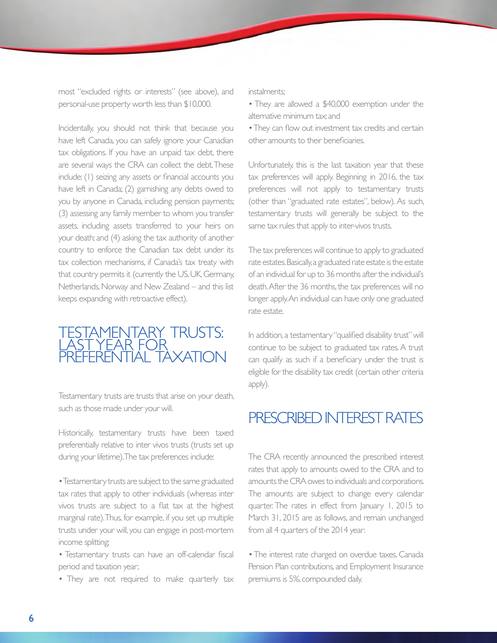most "excluded rights or interests" (see above), and personal-use property worth less than \$10,000.

Incidentally, you should not think that because you have left Canada, you can safely ignore your Canadian tax obligations. If you have an unpaid tax debt, there are several ways the CRA can collect the debt. These include: (1) seizing any assets or financial accounts you have left in Canada; (2) garnishing any debts owed to you by anyone in Canada, including pension payments; (3) assessing any family member to whom you transfer assets, including assets transferred to your heirs on your death; and (4) asking the tax authority of another country to enforce the Canadian tax debt under its tax collection mechanisms, if Canada's tax treaty with that country permits it (currently the US, UK, Germany, Netherlands, Norway and New Zealand – and this list keeps expanding with retroactive effect).

### TESTAMENTARY TRUSTS: LAST YEAR FOR PREFERENTIAL TAXATION

Testamentary trusts are trusts that arise on your death, such as those made under your will.

Historically, testamentary trusts have been taxed preferentially relative to inter vivos trusts (trusts set up during your lifetime). The tax preferences include:

• Testamentary trusts are subject to the same graduated tax rates that apply to other individuals (whereas inter vivos trusts are subject to a flat tax at the highest marginal rate). Thus, for example, if you set up multiple trusts under your will, you can engage in post-mortem income splitting;

• Testamentary trusts can have an off-calendar fiscal period and taxation year;

• They are not required to make quarterly tax

instalments;

- They are allowed a \$40,000 exemption under the alternative minimum tax; and
- They can flow out investment tax credits and certain other amounts to their beneficiaries.

Unfortunately, this is the last taxation year that these tax preferences will apply. Beginning in 2016, the tax preferences will not apply to testamentary trusts (other than "graduated rate estates", below). As such, testamentary trusts will generally be subject to the same tax rules that apply to inter-vivos trusts.

The tax preferences will continue to apply to graduated rate estates. Basically, a graduated rate estate is the estate of an individual for up to 36 months after the individual's death. After the 36 months, the tax preferences will no longer apply. An individual can have only one graduated rate estate.

In addition, a testamentary "qualified disability trust" will continue to be subject to graduated tax rates. A trust can qualify as such if a beneficiary under the trust is eligible for the disability tax credit (certain other criteria apply).

# PRESCRIBED INTEREST RATES

The CRA recently announced the prescribed interest rates that apply to amounts owed to the CRA and to amounts the CRA owes to individuals and corporations. The amounts are subject to change every calendar quarter. The rates in effect from January 1, 2015 to March 31, 2015 are as follows, and remain unchanged from all 4 quarters of the 2014 year:

• The interest rate charged on overdue taxes, Canada Pension Plan contributions, and Employment Insurance premiums is 5%, compounded daily.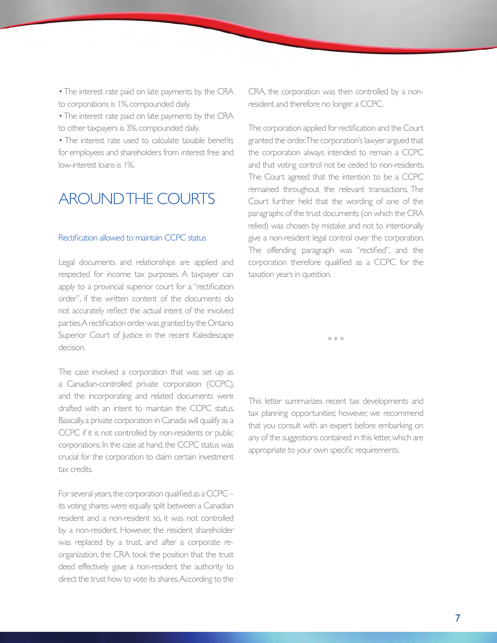• The interest rate paid on late payments by the CRA to corporations is 1%, compounded daily.

• The interest rate paid on late payments by the CRA to other taxpayers is 3%, compounded daily.

• The interest rate used to calculate taxable benefits for employees and shareholders from interest free and low-interest loans is 1%.

## AROUND THE COURTS

#### Rectification allowed to maintain CCPC status

Legal documents and relationships are applied and respected for income tax purposes. A taxpayer can apply to a provincial superior court for a "rectification" order", if the written content of the documents do not accurately reflect the actual intent of the involved parties. A rectification order was granted by the Ontario Superior Court of Justice in the recent Kaleidescape decision.

The case involved a corporation that was set up as a Canadian-controlled private corporation (CCPC), and the incorporating and related documents were drafted with an intent to maintain the CCPC status. Basically, a private corporation in Canada will qualify as a CCPC if it is not controlled by non-residents or public corporations. In the case at hand, the CCPC status was crucial for the corporation to claim certain investment tax credits.

For several years, the corporation qualified as a CCPC – its voting shares were equally split between a Canadian resident and a non-resident so, it was not controlled by a non-resident. However, the resident shareholder was replaced by a trust, and after a corporate reorganization, the CRA took the position that the trust deed effectively gave a non-resident the authority to direct the trust how to vote its shares. According to the

CRA, the corporation was then controlled by a nonresident and therefore no longer a CCPC.

The corporation applied for rectification and the Court granted the order. The corporation's lawyer argued that the corporation always intended to remain a CCPC and that voting control not be ceded to non-residents. The Court agreed that the intention to be a CCPC remained throughout the relevant transactions. The Court further held that the wording of one of the paragraphs of the trust documents (on which the CRA relied) was chosen by mistake and not to intentionally give a non-resident legal control over the corporation. The offending paragraph was "rectified", and the corporation therefore qualified as a CCPC for the taxation years in question.

\* \* \*

This letter summarizes recent tax developments and tax planning opportunities; however, we recommend that you consult with an expert before embarking on any of the suggestions contained in this letter, which are appropriate to your own specific requirements.